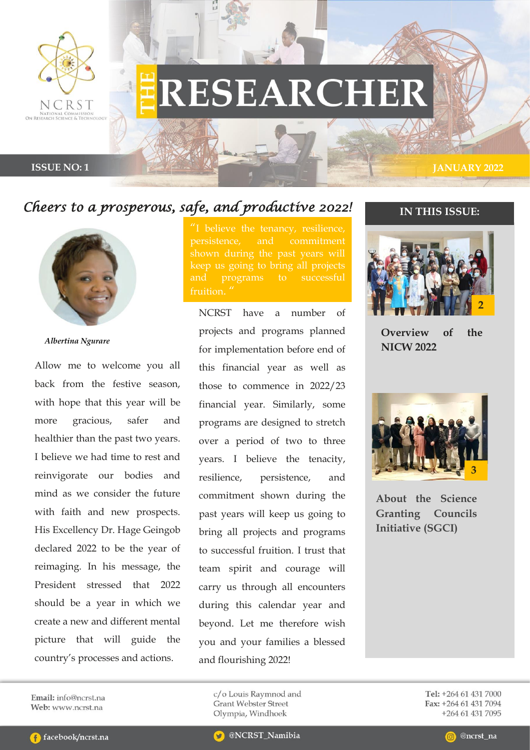

# RESEARCHER

#### **ISSUE NO: 1 IANUARY 2022**

## *Cheers to a prosperous, safe, and productive 2022!*



*Albertina Ngurare*

Allow me to welcome you all back from the festive season, with hope that this year will be more gracious, safer and healthier than the past two years. I believe we had time to rest and reinvigorate our bodies and mind as we consider the future with faith and new prospects. His Excellency Dr. Hage Geingob declared 2022 to be the year of reimaging. In his message, the President stressed that 2022 should be a year in which we create a new and different mental picture that will guide the country's processes and actions.

persistence, and commitment fruition.

NCRST have a number of projects and programs planned for implementation before end of this financial year as well as those to commence in 2022/23 financial year. Similarly, some programs are designed to stretch over a period of two to three years. I believe the tenacity, resilience, persistence, and commitment shown during the past years will keep us going to bring all projects and programs to successful fruition. I trust that team spirit and courage will carry us through all encounters during this calendar year and beyond. Let me therefore wish you and your families a blessed and flourishing 2022!

### **IN THIS ISSUE:**



**Overview of the NICW 2022**



**About the Science Granting Councils Initiative (SGCI)**

Email: info@ncrst.na Web: www.ncrst.na

c/o Louis Raymnod and **Grant Webster Street** Olympia, Windhoek

!

Tel: +264 61 431 7000 Fax: +264 61 431 7094 +264 61 431 7095

@ncrst\_na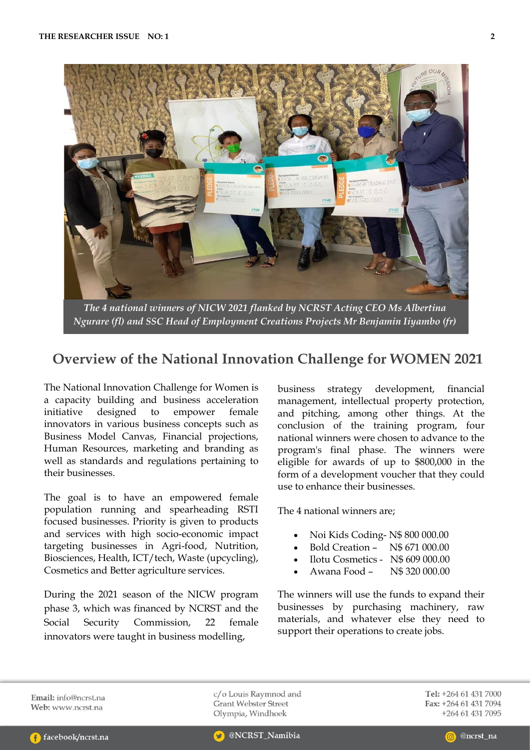

*The 4 national winners of NICW 2021 flanked by NCRST Acting CEO Ms Albertina Ngurare (fl) and SSC Head of Employment Creations Projects Mr Benjamin Iiyambo (fr)*

## **Overview of the National Innovation Challenge for WOMEN 2021**

The National Innovation Challenge for Women is a capacity building and business acceleration initiative designed to empower female innovators in various business concepts such as Business Model Canvas, Financial projections, Human Resources, marketing and branding as well as standards and regulations pertaining to their businesses.

The goal is to have an empowered female population running and spearheading RSTI focused businesses. Priority is given to products and services with high socio-economic impact targeting businesses in Agri-food, Nutrition, Biosciences, Health, ICT/tech, Waste (upcycling), Cosmetics and Better agriculture services.

During the 2021 season of the NICW program phase 3, which was financed by NCRST and the Social Security Commission, 22 female innovators were taught in business modelling,

business strategy development, financial management, intellectual property protection, and pitching, among other things. At the conclusion of the training program, four national winners were chosen to advance to the program's final phase. The winners were eligible for awards of up to \$800,000 in the form of a development voucher that they could use to enhance their businesses.

The 4 national winners are;

- Noi Kids Coding- N\$ 800 000.00
- Bold Creation N\$ 671 000.00
- Ilotu Cosmetics N\$ 609 000.00
- Awana Food N\$ 320 000.00

The winners will use the funds to expand their businesses by purchasing machinery, raw materials, and whatever else they need to support their operations to create jobs.

Email: info@ncrst.na Web: www.ncrst.na

c/o Louis Raymnod and **Grant Webster Street** Olympia, Windhoek

Tel: +264 61 431 7000 Fax: +264 61 431 7094 +264 61 431 7095

@NCRST\_Namibia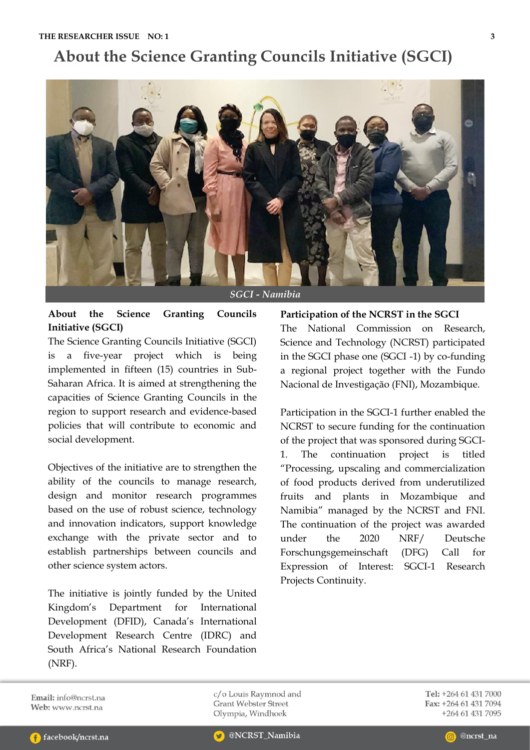# **About the Science Granting Councils Initiative (SGCI)**



## **About the Science Granting Councils Initiative (SGCI)**

The Science Granting Councils Initiative (SGCI) is a five-year project which is being implemented in fifteen (15) countries in Sub-Saharan Africa. It is aimed at strengthening the capacities of Science Granting Councils in the region to support research and evidence-based policies that will contribute to economic and social development.

Objectives of the initiative are to strengthen the ability of the councils to manage research, design and monitor research programmes based on the use of robust science, technology and innovation indicators, support knowledge exchange with the private sector and to establish partnerships between councils and other science system actors.

The initiative is jointly funded by the United Kingdom's Department for International Development (DFID), Canada's International Development Research Centre (IDRC) and South Africa's National Research Foundation (NRF).

**Participation of the NCRST in the SGCI** The National Commission on Research, Science and Technology (NCRST) participated in the SGCI phase one (SGCI -1) by co-funding a regional project together with the Fundo Nacional de Investigação (FNI), Mozambique.

Participation in the SGCI-1 further enabled the NCRST to secure funding for the continuation of the project that was sponsored during SGCI-1. The continuation project is titled "Processing, upscaling and commercialization of food products derived from underutilized fruits and plants in Mozambique and Namibia" managed by the NCRST and FNI. The continuation of the project was awarded under the 2020 NRF/ Deutsche Forschungsgemeinschaft (DFG) Call for Expression of Interest: SGCI-1 Research Projects Continuity.

Email: info@ncrst.na Web: www.ncrst.na

c/o Louis Raymnod and **Grant Webster Street** Olympia, Windhoek

Tel: +264 61 431 7000 Fax: +264 61 431 7094 +264 61 431 7095

@ncrst\_na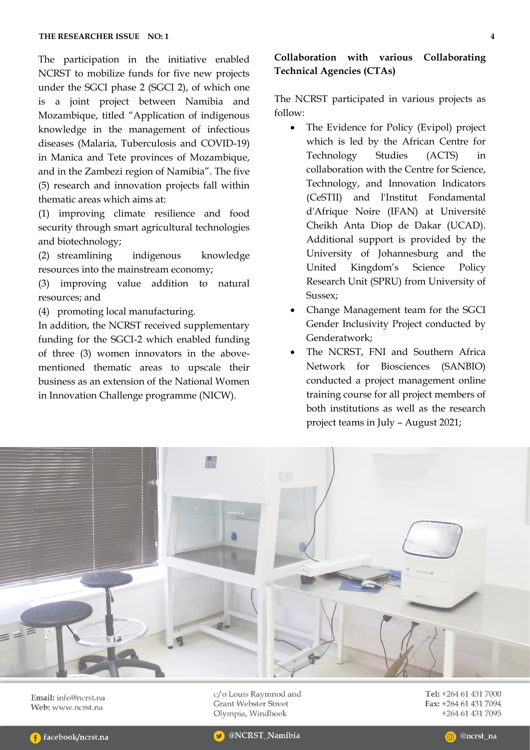The participation in the initiative enabled NCRST to mobilize funds for five new projects under the SGCI phase 2 (SGCI 2), of which one is a joint project between Namibia and Mozambique, titled "Application of indigenous knowledge in the management of infectious diseases (Malaria, Tuberculosis and COVID-19) in Manica and Tete provinces of Mozambique, and in the Zambezi region of Namibia". The five (5) research and innovation projects fall within thematic areas which aims at:

(1) improving climate resilience and food security through smart agricultural technologies and biotechnology;

(2) streamlining indigenous knowledge resources into the mainstream economy;

(3) improving value addition to natural resources; and

(4) promoting local manufacturing.

In addition, the NCRST received supplementary funding for the SGCI-2 which enabled funding of three (3) women innovators in the abovementioned thematic areas to upscale their business as an extension of the National Women in Innovation Challenge programme (NICW).

## **Collaboration with various Collaborating Technical Agencies (CTAs)**

The NCRST participated in various projects as follow:

- The Evidence for Policy (Evipol) project which is led by the African Centre for Technology Studies (ACTS) in collaboration with the Centre for Science, Technology, and Innovation Indicators (CeSTII) and l'Institut Fondamental d'Afrique Noire (IFAN) at Université Cheikh Anta Diop de Dakar (UCAD). Additional support is provided by the University of Johannesburg and the United Kingdom's Science Policy Research Unit (SPRU) from University of Sussex;
- Change Management team for the SGCI Gender Inclusivity Project conducted by Genderatwork;
- The NCRST, FNI and Southern Africa Network for Biosciences (SANBIO) conducted a project management online training course for all project members of both institutions as well as the research project teams in July – August 2021;



Email: info@ncrst.na Web: www.ncrst.na

c/o Louis Raymnod and **Grant Webster Street** Olympia, Windhoek

Tel: +264 61 431 7000 Fax: +264 61 431 7094 +264 61 431 7095